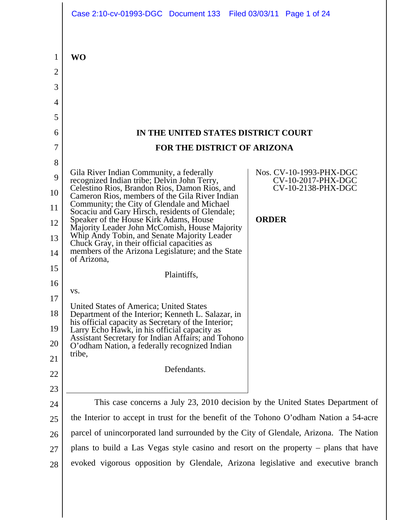|    | Case 2:10-cv-01993-DGC Document 133 Filed 03/03/11 Page 1 of 24                                                 |                                               |
|----|-----------------------------------------------------------------------------------------------------------------|-----------------------------------------------|
| 1  | <b>WO</b>                                                                                                       |                                               |
| 2  |                                                                                                                 |                                               |
| 3  |                                                                                                                 |                                               |
| 4  |                                                                                                                 |                                               |
| 5  |                                                                                                                 |                                               |
| 6  | IN THE UNITED STATES DISTRICT COURT                                                                             |                                               |
| 7  | FOR THE DISTRICT OF ARIZONA                                                                                     |                                               |
| 8  |                                                                                                                 |                                               |
| 9  | Gila River Indian Community, a federally<br>recognized Indian tribe; Delvin John Terry,                         | Nos. CV-10-1993-PHX-DGC<br>CV-10-2017-PHX-DGC |
| 10 | Celestino Rios, Brandon Rios, Damon Rios, and                                                                   | CV-10-2138-PHX-DGC                            |
| 11 | Cameron Rios, members of the Gila River Indian<br>Community; the City of Glendale and Michael                   |                                               |
| 12 | Socaciu and Gary Hirsch, residents of Glendale;<br>Speaker of the House Kirk Adams, House                       | <b>ORDER</b>                                  |
| 13 | Majority Leader John McComish, House Majority<br>Whip Andy Tobin, and Senate Majority Leader                    |                                               |
| 14 | Chuck Gray, in their official capacities as<br>members of the Arizona Legislature; and the State<br>of Arizona, |                                               |
| 15 | Plaintiffs,                                                                                                     |                                               |
| 16 |                                                                                                                 |                                               |
| 17 | VS.                                                                                                             |                                               |
| 18 | United States of America; United States<br>Department of the Interior; Kenneth L. Salazar, in                   |                                               |
| 19 | his official capacity as Secretary of the Interior;<br>Larry Echo Hawk, in his official capacity as             |                                               |
| 20 | Assistant Secretary for Indian Affairs; and Tohono<br>O'odham Nation, a federally recognized Indian             |                                               |
| 21 | tribe,                                                                                                          |                                               |
| 22 | Defendants.                                                                                                     |                                               |
| 23 |                                                                                                                 |                                               |
| 24 | This case concerns a July 23, 2010 decision by the United States Department of                                  |                                               |
| 25 | the Interior to accept in trust for the benefit of the Tohono O'odham Nation a 54-acre                          |                                               |
| 26 | parcel of unincorporated land surrounded by the City of Glendale, Arizona. The Nation                           |                                               |
| 27 | plans to build a Las Vegas style casino and resort on the property – plans that have                            |                                               |
| 28 | evoked vigorous opposition by Glendale, Arizona legislative and executive branch                                |                                               |
|    |                                                                                                                 |                                               |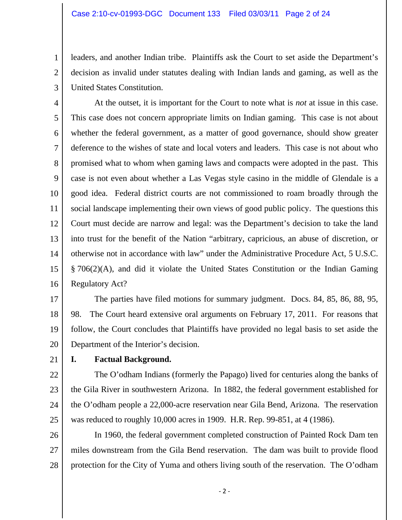leaders, and another Indian tribe. Plaintiffs ask the Court to set aside the Department's decision as invalid under statutes dealing with Indian lands and gaming, as well as the United States Constitution.

4 5 6 7 8 9 10 11 12 13 14 15 16 At the outset, it is important for the Court to note what is *not* at issue in this case. This case does not concern appropriate limits on Indian gaming. This case is not about whether the federal government, as a matter of good governance, should show greater deference to the wishes of state and local voters and leaders. This case is not about who promised what to whom when gaming laws and compacts were adopted in the past. This case is not even about whether a Las Vegas style casino in the middle of Glendale is a good idea. Federal district courts are not commissioned to roam broadly through the social landscape implementing their own views of good public policy. The questions this Court must decide are narrow and legal: was the Department's decision to take the land into trust for the benefit of the Nation "arbitrary, capricious, an abuse of discretion, or otherwise not in accordance with law" under the Administrative Procedure Act, 5 U.S.C. § 706(2)(A), and did it violate the United States Constitution or the Indian Gaming Regulatory Act?

17 18 19 20 The parties have filed motions for summary judgment. Docs. 84, 85, 86, 88, 95, 98. The Court heard extensive oral arguments on February 17, 2011. For reasons that follow, the Court concludes that Plaintiffs have provided no legal basis to set aside the Department of the Interior's decision.

21

1

2

3

#### **I. Factual Background.**

22 23 24 25 The O'odham Indians (formerly the Papago) lived for centuries along the banks of the Gila River in southwestern Arizona. In 1882, the federal government established for the O'odham people a 22,000-acre reservation near Gila Bend, Arizona. The reservation was reduced to roughly 10,000 acres in 1909. H.R. Rep. 99-851, at 4 (1986).

26 27 28 In 1960, the federal government completed construction of Painted Rock Dam ten miles downstream from the Gila Bend reservation. The dam was built to provide flood protection for the City of Yuma and others living south of the reservation. The O'odham

 $-2-$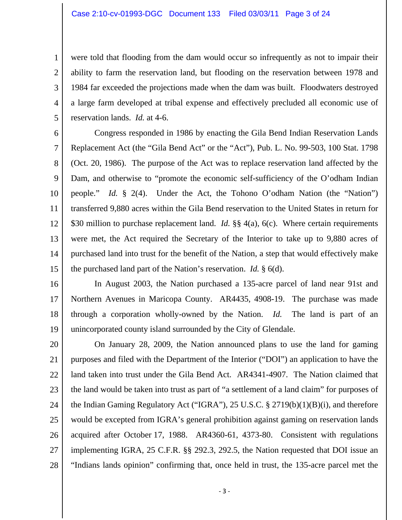#### Case 2:10-cv-01993-DGC Document 133 Filed 03/03/11 Page 3 of 24

were told that flooding from the dam would occur so infrequently as not to impair their ability to farm the reservation land, but flooding on the reservation between 1978 and 1984 far exceeded the projections made when the dam was built. Floodwaters destroyed a large farm developed at tribal expense and effectively precluded all economic use of reservation lands. *Id.* at 4-6.

6 7 8 9 10 11 12 13 14 15 Congress responded in 1986 by enacting the Gila Bend Indian Reservation Lands Replacement Act (the "Gila Bend Act" or the "Act"), Pub. L. No. 99-503, 100 Stat. 1798 (Oct. 20, 1986). The purpose of the Act was to replace reservation land affected by the Dam, and otherwise to "promote the economic self-sufficiency of the O'odham Indian people." *Id.* § 2(4). Under the Act, the Tohono O'odham Nation (the "Nation") transferred 9,880 acres within the Gila Bend reservation to the United States in return for \$30 million to purchase replacement land. *Id.* §§ 4(a), 6(c). Where certain requirements were met, the Act required the Secretary of the Interior to take up to 9,880 acres of purchased land into trust for the benefit of the Nation, a step that would effectively make the purchased land part of the Nation's reservation. *Id.* § 6(d).

1

2

3

4

5

16 17 18 19 In August 2003, the Nation purchased a 135-acre parcel of land near 91st and Northern Avenues in Maricopa County. AR4435, 4908-19. The purchase was made through a corporation wholly-owned by the Nation. *Id.* The land is part of an unincorporated county island surrounded by the City of Glendale.

20 21 22 23 24 25 26 27 28 On January 28, 2009, the Nation announced plans to use the land for gaming purposes and filed with the Department of the Interior ("DOI") an application to have the land taken into trust under the Gila Bend Act. AR4341-4907. The Nation claimed that the land would be taken into trust as part of "a settlement of a land claim" for purposes of the Indian Gaming Regulatory Act ("IGRA"), 25 U.S.C. § 2719(b)(1)(B)(i), and therefore would be excepted from IGRA's general prohibition against gaming on reservation lands acquired after October 17, 1988. AR4360-61, 4373-80. Consistent with regulations implementing IGRA, 25 C.F.R. §§ 292.3, 292.5, the Nation requested that DOI issue an "Indians lands opinion" confirming that, once held in trust, the 135-acre parcel met the

‐ 3 ‐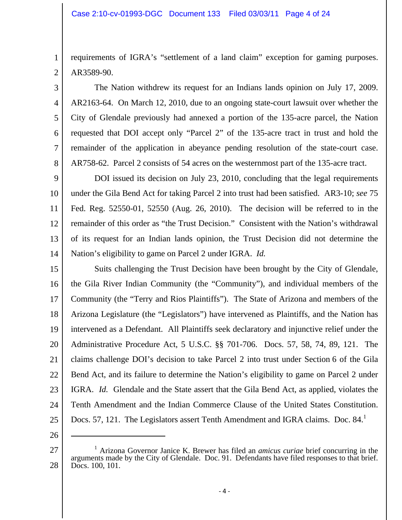requirements of IGRA's "settlement of a land claim" exception for gaming purposes. AR3589-90.

 The Nation withdrew its request for an Indians lands opinion on July 17, 2009. AR2163-64. On March 12, 2010, due to an ongoing state-court lawsuit over whether the City of Glendale previously had annexed a portion of the 135-acre parcel, the Nation requested that DOI accept only "Parcel 2" of the 135-acre tract in trust and hold the remainder of the application in abeyance pending resolution of the state-court case. AR758-62. Parcel 2 consists of 54 acres on the westernmost part of the 135-acre tract.

9 10 11 12 13 14 DOI issued its decision on July 23, 2010, concluding that the legal requirements under the Gila Bend Act for taking Parcel 2 into trust had been satisfied. AR3-10; *see* 75 Fed. Reg. 52550-01, 52550 (Aug. 26, 2010). The decision will be referred to in the remainder of this order as "the Trust Decision." Consistent with the Nation's withdrawal of its request for an Indian lands opinion, the Trust Decision did not determine the Nation's eligibility to game on Parcel 2 under IGRA. *Id.* 

15 16 17 18 19 20 21 22 23 24 25 Suits challenging the Trust Decision have been brought by the City of Glendale, the Gila River Indian Community (the "Community"), and individual members of the Community (the "Terry and Rios Plaintiffs"). The State of Arizona and members of the Arizona Legislature (the "Legislators") have intervened as Plaintiffs, and the Nation has intervened as a Defendant. All Plaintiffs seek declaratory and injunctive relief under the Administrative Procedure Act, 5 U.S.C. §§ 701-706. Docs. 57, 58, 74, 89, 121. The claims challenge DOI's decision to take Parcel 2 into trust under Section 6 of the Gila Bend Act, and its failure to determine the Nation's eligibility to game on Parcel 2 under IGRA. *Id.* Glendale and the State assert that the Gila Bend Act, as applied, violates the Tenth Amendment and the Indian Commerce Clause of the United States Constitution. Docs. 57, 121. The Legislators assert Tenth Amendment and IGRA claims. Doc. 84.<sup>1</sup>

26

 $\overline{a}$ 

1

2

3

4

5

6

7

8

<sup>27</sup>  28 <sup>1</sup> Arizona Governor Janice K. Brewer has filed an *amicus curiae* brief concurring in the arguments made by the City of Glendale. Doc. 91. Defendants have filed responses to that brief. Docs. 100, 101.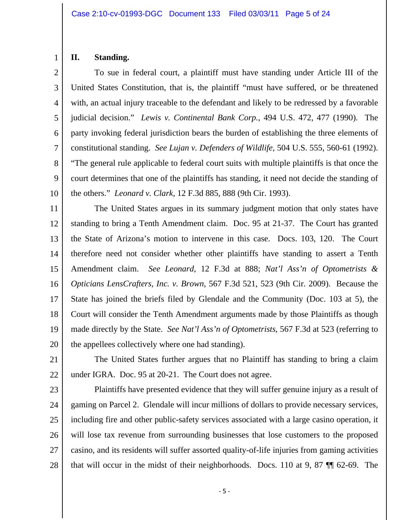### **II. Standing.**

3 4 5 6 7 8 9 10 To sue in federal court, a plaintiff must have standing under Article III of the United States Constitution, that is, the plaintiff "must have suffered, or be threatened with, an actual injury traceable to the defendant and likely to be redressed by a favorable judicial decision." *Lewis v. Continental Bank Corp.*, 494 U.S. 472, 477 (1990). The party invoking federal jurisdiction bears the burden of establishing the three elements of constitutional standing. *See Lujan v. Defenders of Wildlife*, 504 U.S. 555, 560-61 (1992). "The general rule applicable to federal court suits with multiple plaintiffs is that once the court determines that one of the plaintiffs has standing, it need not decide the standing of the others." *Leonard v. Clark*, 12 F.3d 885, 888 (9th Cir. 1993).

11 12 13 14 15 16 17 18 19 20 The United States argues in its summary judgment motion that only states have standing to bring a Tenth Amendment claim. Doc. 95 at 21-37. The Court has granted the State of Arizona's motion to intervene in this case. Docs. 103, 120. The Court therefore need not consider whether other plaintiffs have standing to assert a Tenth Amendment claim. *See Leonard*, 12 F.3d at 888; *Nat'l Ass'n of Optometrists & Opticians LensCrafters, Inc. v. Brown*, 567 F.3d 521, 523 (9th Cir. 2009). Because the State has joined the briefs filed by Glendale and the Community (Doc. 103 at 5), the Court will consider the Tenth Amendment arguments made by those Plaintiffs as though made directly by the State. *See Nat'l Ass'n of Optometrists*, 567 F.3d at 523 (referring to the appellees collectively where one had standing).

21

22 The United States further argues that no Plaintiff has standing to bring a claim under IGRA. Doc. 95 at 20-21. The Court does not agree.

23

24 25 26 27 28 Plaintiffs have presented evidence that they will suffer genuine injury as a result of gaming on Parcel 2. Glendale will incur millions of dollars to provide necessary services, including fire and other public-safety services associated with a large casino operation, it will lose tax revenue from surrounding businesses that lose customers to the proposed casino, and its residents will suffer assorted quality-of-life injuries from gaming activities that will occur in the midst of their neighborhoods. Docs. 110 at 9, 87 ¶¶ 62-69. The

‐ 5 ‐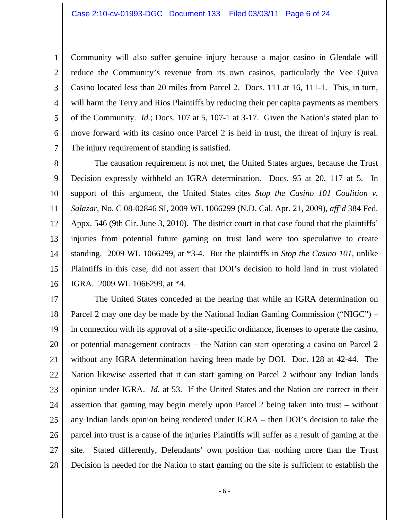1 2 3 4 5 6 7 Community will also suffer genuine injury because a major casino in Glendale will reduce the Community's revenue from its own casinos, particularly the Vee Quiva Casino located less than 20 miles from Parcel 2. Docs. 111 at 16, 111-1. This, in turn, will harm the Terry and Rios Plaintiffs by reducing their per capita payments as members of the Community. *Id.*; Docs. 107 at 5, 107-1 at 3-17. Given the Nation's stated plan to move forward with its casino once Parcel 2 is held in trust, the threat of injury is real. The injury requirement of standing is satisfied.

8 9 10 11 12 13 14 15 16 The causation requirement is not met, the United States argues, because the Trust Decision expressly withheld an IGRA determination. Docs. 95 at 20, 117 at 5. In support of this argument, the United States cites *Stop the Casino 101 Coalition v. Salazar*, No. C 08-02846 SI, 2009 WL 1066299 (N.D. Cal. Apr. 21, 2009), *aff'd* 384 Fed. Appx. 546 (9th Cir. June 3, 2010). The district court in that case found that the plaintiffs' injuries from potential future gaming on trust land were too speculative to create standing. 2009 WL 1066299, at \*3-4. But the plaintiffs in *Stop the Casino 101*, unlike Plaintiffs in this case, did not assert that DOI's decision to hold land in trust violated IGRA. 2009 WL 1066299, at \*4.

17 18 19 20 21 22 23 24 25 26 27 28 The United States conceded at the hearing that while an IGRA determination on Parcel 2 may one day be made by the National Indian Gaming Commission ("NIGC") – in connection with its approval of a site-specific ordinance, licenses to operate the casino, or potential management contracts – the Nation can start operating a casino on Parcel 2 without any IGRA determination having been made by DOI. Doc. 128 at 42-44. The Nation likewise asserted that it can start gaming on Parcel 2 without any Indian lands opinion under IGRA. *Id.* at 53. If the United States and the Nation are correct in their assertion that gaming may begin merely upon Parcel 2 being taken into trust – without any Indian lands opinion being rendered under IGRA – then DOI's decision to take the parcel into trust is a cause of the injuries Plaintiffs will suffer as a result of gaming at the site. Stated differently, Defendants' own position that nothing more than the Trust Decision is needed for the Nation to start gaming on the site is sufficient to establish the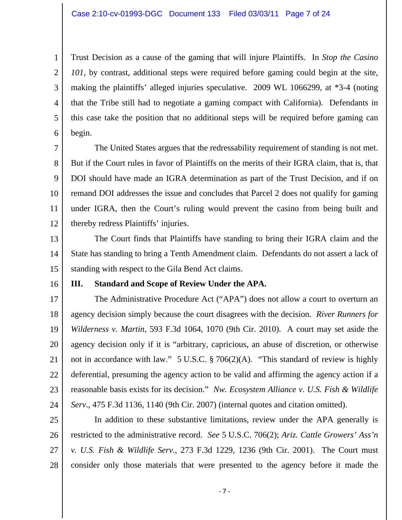2 3 4 5 6 Trust Decision as a cause of the gaming that will injure Plaintiffs. In *Stop the Casino 101*, by contrast, additional steps were required before gaming could begin at the site, making the plaintiffs' alleged injuries speculative. 2009 WL 1066299, at \*3-4 (noting that the Tribe still had to negotiate a gaming compact with California). Defendants in this case take the position that no additional steps will be required before gaming can begin.

7 8 9 10 11 12 The United States argues that the redressability requirement of standing is not met. But if the Court rules in favor of Plaintiffs on the merits of their IGRA claim, that is, that DOI should have made an IGRA determination as part of the Trust Decision, and if on remand DOI addresses the issue and concludes that Parcel 2 does not qualify for gaming under IGRA, then the Court's ruling would prevent the casino from being built and thereby redress Plaintiffs' injuries.

13 14 15 The Court finds that Plaintiffs have standing to bring their IGRA claim and the State has standing to bring a Tenth Amendment claim. Defendants do not assert a lack of standing with respect to the Gila Bend Act claims.

16

1

#### **III. Standard and Scope of Review Under the APA.**

17 18 19 20 21 22 23 24 The Administrative Procedure Act ("APA") does not allow a court to overturn an agency decision simply because the court disagrees with the decision. *River Runners for Wilderness v. Martin*, 593 F.3d 1064, 1070 (9th Cir. 2010). A court may set aside the agency decision only if it is "arbitrary, capricious, an abuse of discretion, or otherwise not in accordance with law." 5 U.S.C. § 706(2)(A). "This standard of review is highly deferential, presuming the agency action to be valid and affirming the agency action if a reasonable basis exists for its decision." *Nw. Ecosystem Alliance v. U.S. Fish & Wildlife Serv*., 475 F.3d 1136, 1140 (9th Cir. 2007) (internal quotes and citation omitted).

25 26 27 28 In addition to these substantive limitations, review under the APA generally is restricted to the administrative record. *See* 5 U.S.C. 706(2); *Ariz. Cattle Growers' Ass'n v. U.S. Fish & Wildlife Serv.*, 273 F.3d 1229, 1236 (9th Cir. 2001). The Court must consider only those materials that were presented to the agency before it made the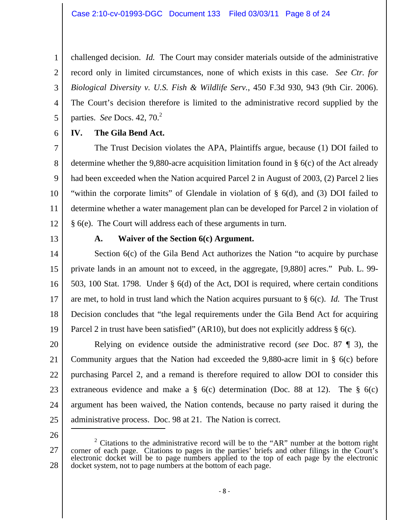4 challenged decision. *Id.* The Court may consider materials outside of the administrative record only in limited circumstances, none of which exists in this case. *See Ctr. for Biological Diversity v. U.S. Fish & Wildlife Serv.*, 450 F.3d 930, 943 (9th Cir. 2006). The Court's decision therefore is limited to the administrative record supplied by the parties. *See* Docs. 42, 70.<sup>2</sup>

6

5

1

2

3

# **IV. The Gila Bend Act.**

7 8 9 10 11 12 The Trust Decision violates the APA, Plaintiffs argue, because (1) DOI failed to determine whether the 9,880-acre acquisition limitation found in § 6(c) of the Act already had been exceeded when the Nation acquired Parcel 2 in August of 2003, (2) Parcel 2 lies "within the corporate limits" of Glendale in violation of § 6(d), and (3) DOI failed to determine whether a water management plan can be developed for Parcel 2 in violation of § 6(e). The Court will address each of these arguments in turn.

13

## **A. Waiver of the Section 6(c) Argument.**

14 15 16 17 18 19 Section  $6(c)$  of the Gila Bend Act authorizes the Nation "to acquire by purchase" private lands in an amount not to exceed, in the aggregate, [9,880] acres." Pub. L. 99- 503, 100 Stat. 1798. Under § 6(d) of the Act, DOI is required, where certain conditions are met, to hold in trust land which the Nation acquires pursuant to § 6(c). *Id.* The Trust Decision concludes that "the legal requirements under the Gila Bend Act for acquiring Parcel 2 in trust have been satisfied" (AR10), but does not explicitly address  $\S$  6(c).

20 21 22 23 24 25 Relying on evidence outside the administrative record (*see* Doc. 87 ¶ 3), the Community argues that the Nation had exceeded the 9,880-acre limit in § 6(c) before purchasing Parcel 2, and a remand is therefore required to allow DOI to consider this extraneous evidence and make a  $\S$  6(c) determination (Doc. 88 at 12). The  $\S$  6(c) argument has been waived, the Nation contends, because no party raised it during the administrative process. Doc. 98 at 21. The Nation is correct. 

26

<sup>27</sup>  28 <sup>2</sup> Citations to the administrative record will be to the "AR" number at the bottom right corner of each page. Citations to pages in the parties' briefs and other filings in the Court's electronic docket will be to page numbers applied to the top of each page by the electronic docket system, not to page numbers at the bottom of each page.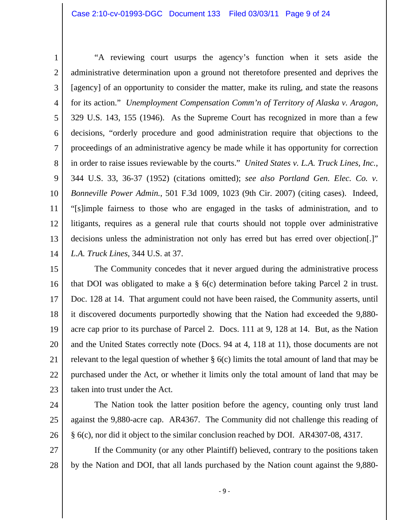1 2 3 4 5 6 7 8 9 10 11 12 13 14 "A reviewing court usurps the agency's function when it sets aside the administrative determination upon a ground not theretofore presented and deprives the [agency] of an opportunity to consider the matter, make its ruling, and state the reasons for its action." *Unemployment Compensation Comm'n of Territory of Alaska v. Aragon*, 329 U.S. 143, 155 (1946). As the Supreme Court has recognized in more than a few decisions, "orderly procedure and good administration require that objections to the proceedings of an administrative agency be made while it has opportunity for correction in order to raise issues reviewable by the courts." *United States v. L.A. Truck Lines, Inc.*, 344 U.S. 33, 36-37 (1952) (citations omitted); *see also Portland Gen. Elec. Co. v. Bonneville Power Admin.*, 501 F.3d 1009, 1023 (9th Cir. 2007) (citing cases). Indeed, "[s]imple fairness to those who are engaged in the tasks of administration, and to litigants, requires as a general rule that courts should not topple over administrative decisions unless the administration not only has erred but has erred over objection.]" *L.A. Truck Lines*, 344 U.S. at 37.

15 16 17 18 19 20 21 22 23 The Community concedes that it never argued during the administrative process that DOI was obligated to make a § 6(c) determination before taking Parcel 2 in trust. Doc. 128 at 14. That argument could not have been raised, the Community asserts, until it discovered documents purportedly showing that the Nation had exceeded the 9,880 acre cap prior to its purchase of Parcel 2. Docs. 111 at 9, 128 at 14. But, as the Nation and the United States correctly note (Docs. 94 at 4, 118 at 11), those documents are not relevant to the legal question of whether § 6(c) limits the total amount of land that may be purchased under the Act, or whether it limits only the total amount of land that may be taken into trust under the Act.

- 24
- 25
- 26

 The Nation took the latter position before the agency, counting only trust land against the 9,880-acre cap. AR4367. The Community did not challenge this reading of § 6(c), nor did it object to the similar conclusion reached by DOI. AR4307-08, 4317.

27 28 If the Community (or any other Plaintiff) believed, contrary to the positions taken by the Nation and DOI, that all lands purchased by the Nation count against the 9,880-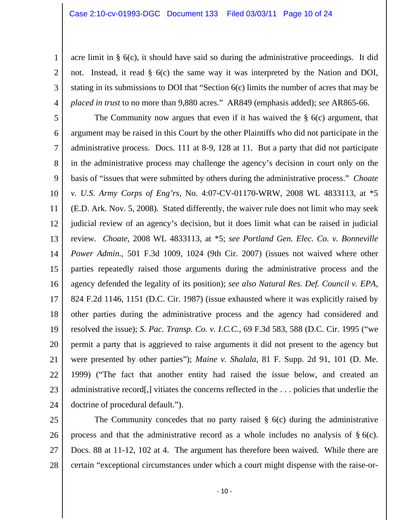2

3

4

acre limit in § 6(c), it should have said so during the administrative proceedings. It did not. Instead, it read § 6(c) the same way it was interpreted by the Nation and DOI, stating in its submissions to DOI that "Section 6(c) limits the number of acres that may be *placed in trust* to no more than 9,880 acres." AR849 (emphasis added); *see* AR865-66.

5 6 7 8 9 10 11 12 13 14 15 16 17 18 19 20 21 22 23 24 The Community now argues that even if it has waived the  $\S$  6(c) argument, that argument may be raised in this Court by the other Plaintiffs who did not participate in the administrative process. Docs. 111 at 8-9, 128 at 11. But a party that did not participate in the administrative process may challenge the agency's decision in court only on the basis of "issues that were submitted by others during the administrative process." *Choate v. U.S. Army Corps of Eng'rs*, No. 4:07-CV-01170-WRW, 2008 WL 4833113, at \*5 (E.D. Ark. Nov. 5, 2008). Stated differently, the waiver rule does not limit who may seek judicial review of an agency's decision, but it does limit what can be raised in judicial review. *Choate*, 2008 WL 4833113, at \*5; *see Portland Gen. Elec. Co. v. Bonneville Power Admin.*, 501 F.3d 1009, 1024 (9th Cir. 2007) (issues not waived where other parties repeatedly raised those arguments during the administrative process and the agency defended the legality of its position); *see also Natural Res. Def. Council v. EPA*, 824 F.2d 1146, 1151 (D.C. Cir. 1987) (issue exhausted where it was explicitly raised by other parties during the administrative process and the agency had considered and resolved the issue); *S. Pac. Transp. Co. v. I.C.C.*, 69 F.3d 583, 588 (D.C. Cir. 1995 ("we permit a party that is aggrieved to raise arguments it did not present to the agency but were presented by other parties"); *Maine v. Shalala*, 81 F. Supp. 2d 91, 101 (D. Me. 1999) ("The fact that another entity had raised the issue below, and created an administrative record[,] vitiates the concerns reflected in the . . . policies that underlie the doctrine of procedural default.").

25 26 27 28 The Community concedes that no party raised  $\S$  6(c) during the administrative process and that the administrative record as a whole includes no analysis of  $\S$  6(c). Docs. 88 at 11-12, 102 at 4. The argument has therefore been waived. While there are certain "exceptional circumstances under which a court might dispense with the raise-or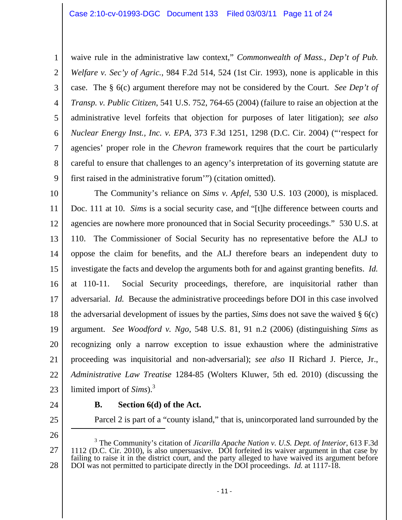1 2 3 4 5 6 7 8 9 waive rule in the administrative law context," *Commonwealth of Mass., Dep't of Pub. Welfare v. Sec'y of Agric.*, 984 F.2d 514, 524 (1st Cir. 1993), none is applicable in this case. The § 6(c) argument therefore may not be considered by the Court. *See Dep't of Transp. v. Public Citizen*, 541 U.S. 752, 764-65 (2004) (failure to raise an objection at the administrative level forfeits that objection for purposes of later litigation); *see also Nuclear Energy Inst., Inc. v. EPA*, 373 F.3d 1251, 1298 (D.C. Cir. 2004) ("'respect for agencies' proper role in the *Chevron* framework requires that the court be particularly careful to ensure that challenges to an agency's interpretation of its governing statute are first raised in the administrative forum'") (citation omitted).

10 11 12 13 14 15 16 17 18 19 20 21 22 23 The Community's reliance on *Sims v. Apfel*, 530 U.S. 103 (2000), is misplaced. Doc. 111 at 10. *Sims* is a social security case, and "[t]he difference between courts and agencies are nowhere more pronounced that in Social Security proceedings." 530 U.S. at 110. The Commissioner of Social Security has no representative before the ALJ to oppose the claim for benefits, and the ALJ therefore bears an independent duty to investigate the facts and develop the arguments both for and against granting benefits. *Id.*  at 110-11. Social Security proceedings, therefore, are inquisitorial rather than adversarial. *Id.* Because the administrative proceedings before DOI in this case involved the adversarial development of issues by the parties, *Sims* does not save the waived § 6(c) argument. *See Woodford v. Ngo*, 548 U.S. 81, 91 n.2 (2006) (distinguishing *Sims* as recognizing only a narrow exception to issue exhaustion where the administrative proceeding was inquisitorial and non-adversarial); *see also* II Richard J. Pierce, Jr., *Administrative Law Treatise* 1284-85 (Wolters Kluwer, 5th ed. 2010) (discussing the limited import of *Sims*).3

24

25

26

#### **B. Section 6(d) of the Act.**

Parcel 2 is part of a "county island," that is, unincorporated land surrounded by the

27 28 3 The Community's citation of *Jicarilla Apache Nation v. U.S. Dept. of Interior*, 613 F.3d 1112 (D.C. Cir. 2010), is also unpersuasive. DOI forfeited its waiver argument in that case by failing to raise it in the district court, and the party alleged to have waived its argument before DOI was not permitted to participate directly in the DOI proceedings. *Id.* at 1117-18.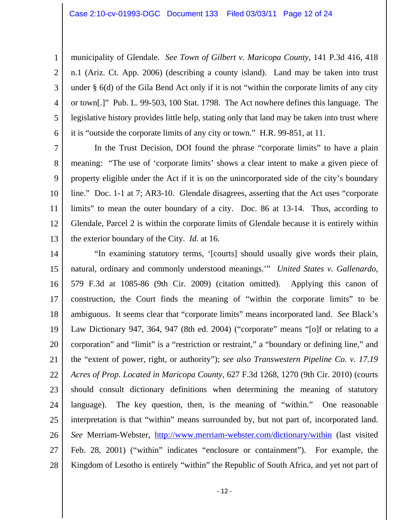2

3

4

5

6

municipality of Glendale. *See Town of Gilbert v. Maricopa County*, 141 P.3d 416, 418 n.1 (Ariz. Ct. App. 2006) (describing a county island). Land may be taken into trust under § 6(d) of the Gila Bend Act only if it is not "within the corporate limits of any city or town[.]" Pub. L. 99-503, 100 Stat. 1798. The Act nowhere defines this language. The legislative history provides little help, stating only that land may be taken into trust where it is "outside the corporate limits of any city or town." H.R. 99-851, at 11.

7 8 9 10 11 12 13 In the Trust Decision, DOI found the phrase "corporate limits" to have a plain meaning: "The use of 'corporate limits' shows a clear intent to make a given piece of property eligible under the Act if it is on the unincorporated side of the city's boundary line." Doc. 1-1 at 7; AR3-10. Glendale disagrees, asserting that the Act uses "corporate limits" to mean the outer boundary of a city. Doc. 86 at 13-14. Thus, according to Glendale, Parcel 2 is within the corporate limits of Glendale because it is entirely within the exterior boundary of the City. *Id.* at 16.

14 15 16 17 18 19 20 21 22 23 24 25 26 27 28 "In examining statutory terms, '[courts] should usually give words their plain, natural, ordinary and commonly understood meanings.'" *United States v. Gallenardo*, 579 F.3d at 1085-86 (9th Cir. 2009) (citation omitted). Applying this canon of construction, the Court finds the meaning of "within the corporate limits" to be ambiguous. It seems clear that "corporate limits" means incorporated land. *See* Black's Law Dictionary 947, 364, 947 (8th ed. 2004) ("corporate" means "[o]f or relating to a corporation" and "limit" is a "restriction or restraint," a "boundary or defining line," and the "extent of power, right, or authority"); *see also Transwestern Pipeline Co. v. 17.19 Acres of Prop. Located in Maricopa County*, 627 F.3d 1268, 1270 (9th Cir. 2010) (courts should consult dictionary definitions when determining the meaning of statutory language). The key question, then, is the meaning of "within." One reasonable interpretation is that "within" means surrounded by, but not part of, incorporated land. *See* Merriam-Webster, http://www.merriam-webster.com/dictionary/within (last visited Feb. 28, 2001) ("within" indicates "enclosure or containment"). For example, the Kingdom of Lesotho is entirely "within" the Republic of South Africa, and yet not part of

‐ 12 ‐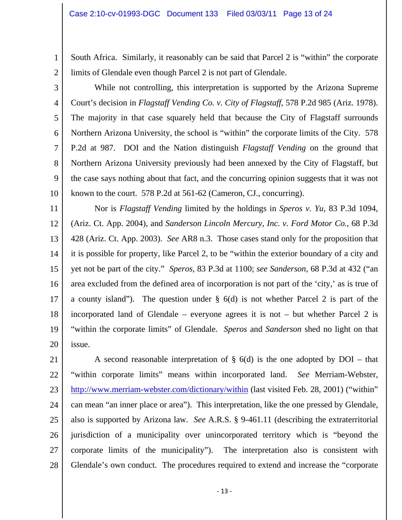South Africa. Similarly, it reasonably can be said that Parcel 2 is "within" the corporate limits of Glendale even though Parcel 2 is not part of Glendale.

2 3

4

5

6

7

8

9

10

1

 While not controlling, this interpretation is supported by the Arizona Supreme Court's decision in *Flagstaff Vending Co. v. City of Flagstaff*, 578 P.2d 985 (Ariz. 1978). The majority in that case squarely held that because the City of Flagstaff surrounds Northern Arizona University, the school is "within" the corporate limits of the City. 578 P.2d at 987. DOI and the Nation distinguish *Flagstaff Vending* on the ground that Northern Arizona University previously had been annexed by the City of Flagstaff, but the case says nothing about that fact, and the concurring opinion suggests that it was not known to the court. 578 P.2d at 561-62 (Cameron, CJ., concurring).

11 12 13 14 15 16 17 18 19 20 Nor is *Flagstaff Vending* limited by the holdings in *Speros v. Yu*, 83 P.3d 1094, (Ariz. Ct. App. 2004), and *Sanderson Lincoln Mercury, Inc. v. Ford Motor Co.*, 68 P.3d 428 (Ariz. Ct. App. 2003). *See* AR8 n.3. Those cases stand only for the proposition that it is possible for property, like Parcel 2, to be "within the exterior boundary of a city and yet not be part of the city." *Speros*, 83 P.3d at 1100; *see Sanderson*, 68 P.3d at 432 ("an area excluded from the defined area of incorporation is not part of the 'city,' as is true of a county island"). The question under § 6(d) is not whether Parcel 2 is part of the incorporated land of Glendale – everyone agrees it is not – but whether Parcel 2 is "within the corporate limits" of Glendale. *Speros* and *Sanderson* shed no light on that issue.

21 22 23 24 25 26 27 28 A second reasonable interpretation of  $\S$  6(d) is the one adopted by DOI – that "within corporate limits" means within incorporated land. *See* Merriam-Webster, http://www.merriam-webster.com/dictionary/within (last visited Feb. 28, 2001) ("within" can mean "an inner place or area"). This interpretation, like the one pressed by Glendale, also is supported by Arizona law. *See* A.R.S. § 9-461.11 (describing the extraterritorial jurisdiction of a municipality over unincorporated territory which is "beyond the corporate limits of the municipality"). The interpretation also is consistent with Glendale's own conduct. The procedures required to extend and increase the "corporate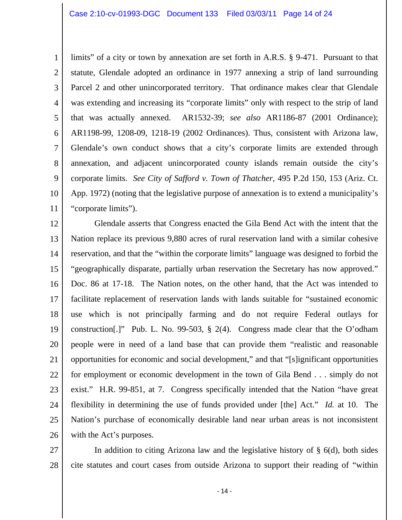1 2 3 4 5 6 7 8 9 10 11 limits" of a city or town by annexation are set forth in A.R.S. § 9-471. Pursuant to that statute, Glendale adopted an ordinance in 1977 annexing a strip of land surrounding Parcel 2 and other unincorporated territory. That ordinance makes clear that Glendale was extending and increasing its "corporate limits" only with respect to the strip of land that was actually annexed. AR1532-39; *see also* AR1186-87 (2001 Ordinance); AR1198-99, 1208-09, 1218-19 (2002 Ordinances). Thus, consistent with Arizona law, Glendale's own conduct shows that a city's corporate limits are extended through annexation, and adjacent unincorporated county islands remain outside the city's corporate limits. *See City of Safford v. Town of Thatcher*, 495 P.2d 150, 153 (Ariz. Ct. App. 1972) (noting that the legislative purpose of annexation is to extend a municipality's "corporate limits").

12 13 14 15 16 17 18 19 20 21 22 23 24 25 26 Glendale asserts that Congress enacted the Gila Bend Act with the intent that the Nation replace its previous 9,880 acres of rural reservation land with a similar cohesive reservation, and that the "within the corporate limits" language was designed to forbid the "geographically disparate, partially urban reservation the Secretary has now approved." Doc. 86 at 17-18. The Nation notes, on the other hand, that the Act was intended to facilitate replacement of reservation lands with lands suitable for "sustained economic use which is not principally farming and do not require Federal outlays for construction[.]" Pub. L. No. 99-503, § 2(4). Congress made clear that the O'odham people were in need of a land base that can provide them "realistic and reasonable opportunities for economic and social development," and that "[s]ignificant opportunities for employment or economic development in the town of Gila Bend . . . simply do not exist." H.R. 99-851, at 7. Congress specifically intended that the Nation "have great flexibility in determining the use of funds provided under [the] Act." *Id.* at 10. The Nation's purchase of economically desirable land near urban areas is not inconsistent with the Act's purposes.

27 28 In addition to citing Arizona law and the legislative history of § 6(d), both sides cite statutes and court cases from outside Arizona to support their reading of "within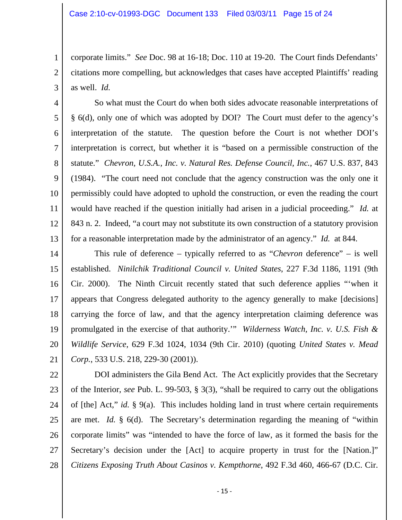2

3

corporate limits." *See* Doc. 98 at 16-18; Doc. 110 at 19-20. The Court finds Defendants' citations more compelling, but acknowledges that cases have accepted Plaintiffs' reading as well. *Id.*

4 5 6 7 8 9 10 11 12 13 So what must the Court do when both sides advocate reasonable interpretations of § 6(d), only one of which was adopted by DOI? The Court must defer to the agency's interpretation of the statute. The question before the Court is not whether DOI's interpretation is correct, but whether it is "based on a permissible construction of the statute." *Chevron, U.S.A., Inc. v. Natural Res. Defense Council, Inc.*, 467 U.S. 837, 843 (1984). "The court need not conclude that the agency construction was the only one it permissibly could have adopted to uphold the construction, or even the reading the court would have reached if the question initially had arisen in a judicial proceeding." *Id.* at 843 n. 2. Indeed, "a court may not substitute its own construction of a statutory provision for a reasonable interpretation made by the administrator of an agency." *Id.* at 844.

14 15 16 17 18 19 20 21 This rule of deference – typically referred to as "*Chevron* deference" – is well established. *Ninilchik Traditional Council v. United States*, 227 F.3d 1186, 1191 (9th Cir. 2000). The Ninth Circuit recently stated that such deference applies "'when it appears that Congress delegated authority to the agency generally to make [decisions] carrying the force of law, and that the agency interpretation claiming deference was promulgated in the exercise of that authority.'" *Wilderness Watch, Inc. v. U.S. Fish & Wildlife Service*, 629 F.3d 1024, 1034 (9th Cir. 2010) (quoting *United States v. Mead Corp.*, 533 U.S. 218, 229-30 (2001)).

22 23 24 25 26 27 28 DOI administers the Gila Bend Act. The Act explicitly provides that the Secretary of the Interior, *see* Pub. L. 99-503, § 3(3), "shall be required to carry out the obligations of [the] Act," *id.* § 9(a). This includes holding land in trust where certain requirements are met. *Id.* § 6(d). The Secretary's determination regarding the meaning of "within corporate limits" was "intended to have the force of law, as it formed the basis for the Secretary's decision under the [Act] to acquire property in trust for the [Nation.]" *Citizens Exposing Truth About Casinos v. Kempthorne*, 492 F.3d 460, 466-67 (D.C. Cir.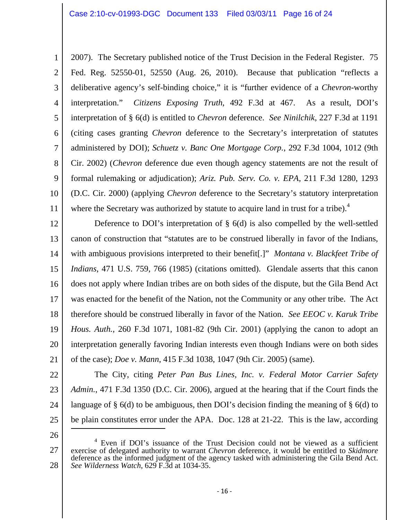1 2 3 4 5 6 7 8 9 10 11 2007). The Secretary published notice of the Trust Decision in the Federal Register. 75 Fed. Reg. 52550-01, 52550 (Aug. 26, 2010). Because that publication "reflects a deliberative agency's self-binding choice," it is "further evidence of a *Chevron*-worthy interpretation." *Citizens Exposing Truth*, 492 F.3d at 467. As a result, DOI's interpretation of § 6(d) is entitled to *Chevron* deference. *See Ninilchik*, 227 F.3d at 1191 (citing cases granting *Chevron* deference to the Secretary's interpretation of statutes administered by DOI); *Schuetz v. Banc One Mortgage Corp.*, 292 F.3d 1004, 1012 (9th Cir. 2002) (*Chevron* deference due even though agency statements are not the result of formal rulemaking or adjudication); *Ariz. Pub. Serv. Co. v. EPA*, 211 F.3d 1280, 1293 (D.C. Cir. 2000) (applying *Chevron* deference to the Secretary's statutory interpretation where the Secretary was authorized by statute to acquire land in trust for a tribe). $4$ 

12 13 14 15 16 17 18 19 20 21 Deference to DOI's interpretation of  $\S$  6(d) is also compelled by the well-settled canon of construction that "statutes are to be construed liberally in favor of the Indians, with ambiguous provisions interpreted to their benefit[.]" *Montana v. Blackfeet Tribe of Indians*, 471 U.S. 759, 766 (1985) (citations omitted). Glendale asserts that this canon does not apply where Indian tribes are on both sides of the dispute, but the Gila Bend Act was enacted for the benefit of the Nation, not the Community or any other tribe. The Act therefore should be construed liberally in favor of the Nation. *See EEOC v. Karuk Tribe Hous. Auth.*, 260 F.3d 1071, 1081-82 (9th Cir. 2001) (applying the canon to adopt an interpretation generally favoring Indian interests even though Indians were on both sides of the case); *Doe v. Mann*, 415 F.3d 1038, 1047 (9th Cir. 2005) (same).

22

23 24 25 The City, citing *Peter Pan Bus Lines, Inc. v. Federal Motor Carrier Safety Admin.*, 471 F.3d 1350 (D.C. Cir. 2006), argued at the hearing that if the Court finds the language of  $\S$  6(d) to be ambiguous, then DOI's decision finding the meaning of  $\S$  6(d) to be plain constitutes error under the APA. Doc. 128 at 21-22. This is the law, according

26

<sup>27</sup>  28 <sup>4</sup> Even if DOI's issuance of the Trust Decision could not be viewed as a sufficient exercise of delegated authority to warrant *Chevron* deference, it would be entitled to *Skidmore*  deference as the informed judgment of the agency tasked with administering the Gila Bend Act. *See Wilderness Watch*, 629 F.3d at 1034-35.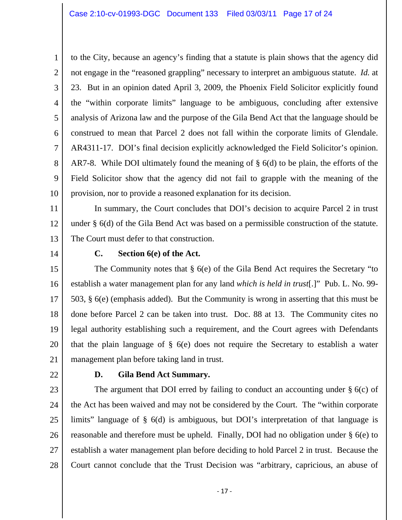3 4 5 6 7 8 9 10 to the City, because an agency's finding that a statute is plain shows that the agency did not engage in the "reasoned grappling" necessary to interpret an ambiguous statute. *Id.* at 23. But in an opinion dated April 3, 2009, the Phoenix Field Solicitor explicitly found the "within corporate limits" language to be ambiguous, concluding after extensive analysis of Arizona law and the purpose of the Gila Bend Act that the language should be construed to mean that Parcel 2 does not fall within the corporate limits of Glendale. AR4311-17. DOI's final decision explicitly acknowledged the Field Solicitor's opinion. AR7-8. While DOI ultimately found the meaning of § 6(d) to be plain, the efforts of the Field Solicitor show that the agency did not fail to grapple with the meaning of the provision, nor to provide a reasoned explanation for its decision.

11 12 13 In summary, the Court concludes that DOI's decision to acquire Parcel 2 in trust under § 6(d) of the Gila Bend Act was based on a permissible construction of the statute. The Court must defer to that construction.

14

1

2

#### **C. Section 6(e) of the Act.**

15 16 17 18 19 20 21 The Community notes that § 6(e) of the Gila Bend Act requires the Secretary "to establish a water management plan for any land *which is held in trust*[.]" Pub. L. No. 99- 503, § 6(e) (emphasis added). But the Community is wrong in asserting that this must be done before Parcel 2 can be taken into trust. Doc. 88 at 13. The Community cites no legal authority establishing such a requirement, and the Court agrees with Defendants that the plain language of § 6(e) does not require the Secretary to establish a water management plan before taking land in trust.

22

#### **D. Gila Bend Act Summary.**

23 24 25 26 27 28 The argument that DOI erred by failing to conduct an accounting under  $\S$  6(c) of the Act has been waived and may not be considered by the Court. The "within corporate limits" language of § 6(d) is ambiguous, but DOI's interpretation of that language is reasonable and therefore must be upheld. Finally, DOI had no obligation under § 6(e) to establish a water management plan before deciding to hold Parcel 2 in trust. Because the Court cannot conclude that the Trust Decision was "arbitrary, capricious, an abuse of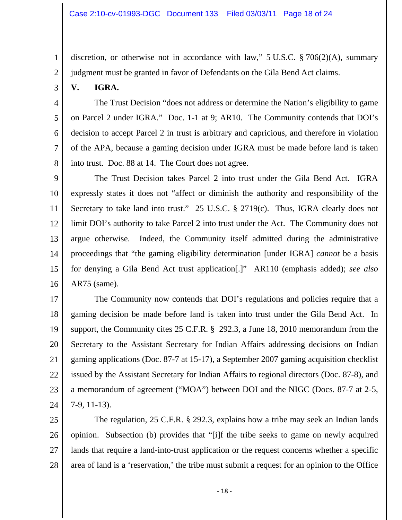discretion, or otherwise not in accordance with law," 5 U.S.C. § 706(2)(A), summary judgment must be granted in favor of Defendants on the Gila Bend Act claims.

3

1

2

4

5

6

7

8

# **V. IGRA.**

 The Trust Decision "does not address or determine the Nation's eligibility to game on Parcel 2 under IGRA." Doc. 1-1 at 9; AR10. The Community contends that DOI's decision to accept Parcel 2 in trust is arbitrary and capricious, and therefore in violation of the APA, because a gaming decision under IGRA must be made before land is taken into trust. Doc. 88 at 14. The Court does not agree.

9 10 11 12 13 14 15 16 The Trust Decision takes Parcel 2 into trust under the Gila Bend Act. IGRA expressly states it does not "affect or diminish the authority and responsibility of the Secretary to take land into trust." 25 U.S.C. § 2719(c). Thus, IGRA clearly does not limit DOI's authority to take Parcel 2 into trust under the Act. The Community does not argue otherwise. Indeed, the Community itself admitted during the administrative proceedings that "the gaming eligibility determination [under IGRA] *cannot* be a basis for denying a Gila Bend Act trust application[.]" AR110 (emphasis added); *see also* AR75 (same).

17 18 19 20 21 22 23 24 The Community now contends that DOI's regulations and policies require that a gaming decision be made before land is taken into trust under the Gila Bend Act. In support, the Community cites 25 C.F.R. § 292.3, a June 18, 2010 memorandum from the Secretary to the Assistant Secretary for Indian Affairs addressing decisions on Indian gaming applications (Doc. 87-7 at 15-17), a September 2007 gaming acquisition checklist issued by the Assistant Secretary for Indian Affairs to regional directors (Doc. 87-8), and a memorandum of agreement ("MOA") between DOI and the NIGC (Docs. 87-7 at 2-5, 7-9, 11-13).

25 26 27 28 The regulation, 25 C.F.R. § 292.3, explains how a tribe may seek an Indian lands opinion. Subsection (b) provides that "[i]f the tribe seeks to game on newly acquired lands that require a land-into-trust application or the request concerns whether a specific area of land is a 'reservation,' the tribe must submit a request for an opinion to the Office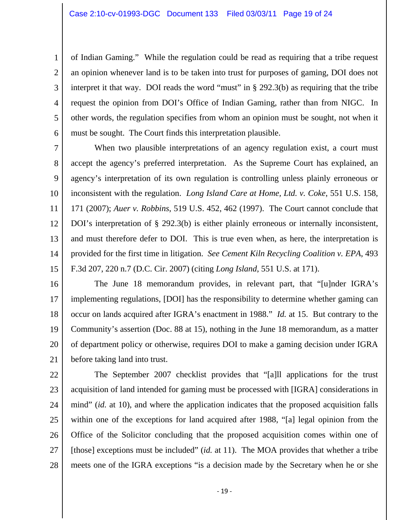2

3 4 5 6 of Indian Gaming." While the regulation could be read as requiring that a tribe request an opinion whenever land is to be taken into trust for purposes of gaming, DOI does not interpret it that way. DOI reads the word "must" in  $\S$  292.3(b) as requiring that the tribe request the opinion from DOI's Office of Indian Gaming, rather than from NIGC. In other words, the regulation specifies from whom an opinion must be sought, not when it must be sought. The Court finds this interpretation plausible.

7 8 9 10 11 12 13 14 15 When two plausible interpretations of an agency regulation exist, a court must accept the agency's preferred interpretation. As the Supreme Court has explained, an agency's interpretation of its own regulation is controlling unless plainly erroneous or inconsistent with the regulation. *Long Island Care at Home, Ltd. v. Coke*, 551 U.S. 158, 171 (2007); *Auer v. Robbins*, 519 U.S. 452, 462 (1997). The Court cannot conclude that DOI's interpretation of § 292.3(b) is either plainly erroneous or internally inconsistent, and must therefore defer to DOI. This is true even when, as here, the interpretation is provided for the first time in litigation. *See Cement Kiln Recycling Coalition v. EPA*, 493 F.3d 207, 220 n.7 (D.C. Cir. 2007) (citing *Long Island*, 551 U.S. at 171).

16 17 18 19 20 21 The June 18 memorandum provides, in relevant part, that "[u]nder IGRA's implementing regulations, [DOI] has the responsibility to determine whether gaming can occur on lands acquired after IGRA's enactment in 1988." *Id.* at 15. But contrary to the Community's assertion (Doc. 88 at 15), nothing in the June 18 memorandum, as a matter of department policy or otherwise, requires DOI to make a gaming decision under IGRA before taking land into trust.

22 23 24 25 26 27 28 The September 2007 checklist provides that "[a]ll applications for the trust acquisition of land intended for gaming must be processed with [IGRA] considerations in mind" *(id.* at 10), and where the application indicates that the proposed acquisition falls within one of the exceptions for land acquired after 1988, "[a] legal opinion from the Office of the Solicitor concluding that the proposed acquisition comes within one of [those] exceptions must be included" (*id.* at 11). The MOA provides that whether a tribe meets one of the IGRA exceptions "is a decision made by the Secretary when he or she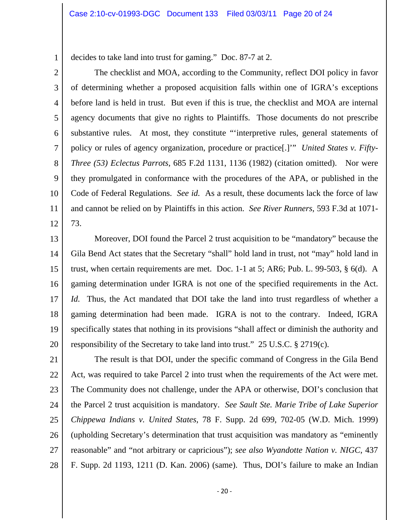decides to take land into trust for gaming." Doc. 87-7 at 2.

1

2 3 4 5 6 7 8 9 10 11 12 The checklist and MOA, according to the Community, reflect DOI policy in favor of determining whether a proposed acquisition falls within one of IGRA's exceptions before land is held in trust. But even if this is true, the checklist and MOA are internal agency documents that give no rights to Plaintiffs. Those documents do not prescribe substantive rules. At most, they constitute "'interpretive rules, general statements of policy or rules of agency organization, procedure or practice[.]'" *United States v. Fifty-Three (53) Eclectus Parrots*, 685 F.2d 1131, 1136 (1982) (citation omitted). Nor were they promulgated in conformance with the procedures of the APA, or published in the Code of Federal Regulations. *See id.* As a result, these documents lack the force of law and cannot be relied on by Plaintiffs in this action. *See River Runners*, 593 F.3d at 1071- 73.

13 14 15 16 17 18 19 20 Moreover, DOI found the Parcel 2 trust acquisition to be "mandatory" because the Gila Bend Act states that the Secretary "shall" hold land in trust, not "may" hold land in trust, when certain requirements are met. Doc. 1-1 at 5; AR6; Pub. L. 99-503, § 6(d). A gaming determination under IGRA is not one of the specified requirements in the Act. *Id.* Thus, the Act mandated that DOI take the land into trust regardless of whether a gaming determination had been made. IGRA is not to the contrary. Indeed, IGRA specifically states that nothing in its provisions "shall affect or diminish the authority and responsibility of the Secretary to take land into trust." 25 U.S.C. § 2719(c).

21 22 23 24 25 26 27 28 The result is that DOI, under the specific command of Congress in the Gila Bend Act, was required to take Parcel 2 into trust when the requirements of the Act were met. The Community does not challenge, under the APA or otherwise, DOI's conclusion that the Parcel 2 trust acquisition is mandatory. *See Sault Ste. Marie Tribe of Lake Superior Chippewa Indians v. United States*, 78 F. Supp. 2d 699, 702-05 (W.D. Mich. 1999) (upholding Secretary's determination that trust acquisition was mandatory as "eminently reasonable" and "not arbitrary or capricious"); *see also Wyandotte Nation v. NIGC*, 437 F. Supp. 2d 1193, 1211 (D. Kan. 2006) (same). Thus, DOI's failure to make an Indian

‐ 20 ‐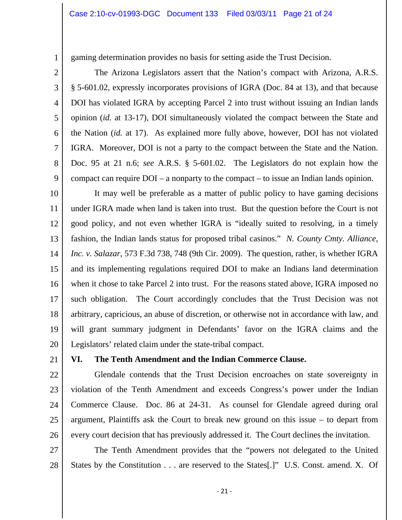gaming determination provides no basis for setting aside the Trust Decision.

 The Arizona Legislators assert that the Nation's compact with Arizona, A.R.S. § 5-601.02, expressly incorporates provisions of IGRA (Doc. 84 at 13), and that because DOI has violated IGRA by accepting Parcel 2 into trust without issuing an Indian lands opinion (*id.* at 13-17), DOI simultaneously violated the compact between the State and the Nation (*id.* at 17). As explained more fully above, however, DOI has not violated IGRA. Moreover, DOI is not a party to the compact between the State and the Nation. Doc. 95 at 21 n.6; *see* A.R.S. § 5-601.02. The Legislators do not explain how the compact can require DOI – a nonparty to the compact – to issue an Indian lands opinion.

10 11 12 13 14 15 16 17 18 19 20 It may well be preferable as a matter of public policy to have gaming decisions under IGRA made when land is taken into trust. But the question before the Court is not good policy, and not even whether IGRA is "ideally suited to resolving, in a timely fashion, the Indian lands status for proposed tribal casinos." *N. County Cmty. Alliance, Inc. v. Salazar*, 573 F.3d 738, 748 (9th Cir. 2009). The question, rather, is whether IGRA and its implementing regulations required DOI to make an Indians land determination when it chose to take Parcel 2 into trust. For the reasons stated above, IGRA imposed no such obligation. The Court accordingly concludes that the Trust Decision was not arbitrary, capricious, an abuse of discretion, or otherwise not in accordance with law, and will grant summary judgment in Defendants' favor on the IGRA claims and the Legislators' related claim under the state-tribal compact.

21

1

2

3

4

5

6

7

8

9

## **VI. The Tenth Amendment and the Indian Commerce Clause.**

22 23 24 25 26 Glendale contends that the Trust Decision encroaches on state sovereignty in violation of the Tenth Amendment and exceeds Congress's power under the Indian Commerce Clause. Doc. 86 at 24-31. As counsel for Glendale agreed during oral argument, Plaintiffs ask the Court to break new ground on this issue – to depart from every court decision that has previously addressed it. The Court declines the invitation.

27

28 The Tenth Amendment provides that the "powers not delegated to the United States by the Constitution . . . are reserved to the States[.]" U.S. Const. amend. X. Of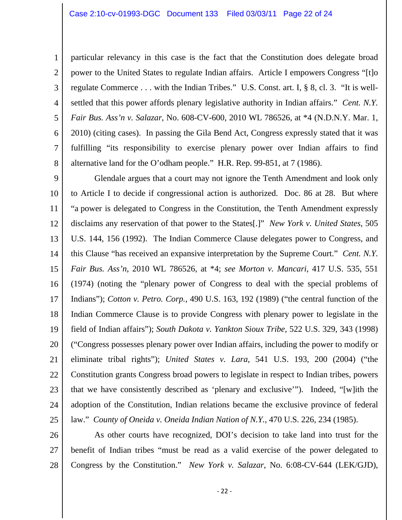3

4

5

6

7

8

particular relevancy in this case is the fact that the Constitution does delegate broad power to the United States to regulate Indian affairs. Article I empowers Congress "[t]o regulate Commerce . . . with the Indian Tribes." U.S. Const. art. I, § 8, cl. 3. "It is wellsettled that this power affords plenary legislative authority in Indian affairs." *Cent. N.Y. Fair Bus. Ass'n v. Salazar*, No. 608-CV-600, 2010 WL 786526, at \*4 (N.D.N.Y. Mar. 1, 2010) (citing cases). In passing the Gila Bend Act, Congress expressly stated that it was fulfilling "its responsibility to exercise plenary power over Indian affairs to find alternative land for the O'odham people." H.R. Rep. 99-851, at 7 (1986).

9 10 11 12 13 14 15 16 17 18 19 20 21 22 23 24 25 Glendale argues that a court may not ignore the Tenth Amendment and look only to Article I to decide if congressional action is authorized. Doc. 86 at 28. But where "a power is delegated to Congress in the Constitution, the Tenth Amendment expressly disclaims any reservation of that power to the States[.]" *New York v. United States*, 505 U.S. 144, 156 (1992). The Indian Commerce Clause delegates power to Congress, and this Clause "has received an expansive interpretation by the Supreme Court." *Cent. N.Y. Fair Bus. Ass'n*, 2010 WL 786526, at \*4; *see Morton v. Mancari*, 417 U.S. 535, 551 (1974) (noting the "plenary power of Congress to deal with the special problems of Indians"); *Cotton v. Petro. Corp.*, 490 U.S. 163, 192 (1989) ("the central function of the Indian Commerce Clause is to provide Congress with plenary power to legislate in the field of Indian affairs"); *South Dakota v. Yankton Sioux Tribe*, 522 U.S. 329, 343 (1998) ("Congress possesses plenary power over Indian affairs, including the power to modify or eliminate tribal rights"); *United States v. Lara*, 541 U.S. 193, 200 (2004) ("the Constitution grants Congress broad powers to legislate in respect to Indian tribes, powers that we have consistently described as 'plenary and exclusive'"). Indeed, "[w]ith the adoption of the Constitution, Indian relations became the exclusive province of federal law." *County of Oneida v. Oneida Indian Nation of N.Y.*, 470 U.S. 226, 234 (1985).

26 27 28 As other courts have recognized, DOI's decision to take land into trust for the benefit of Indian tribes "must be read as a valid exercise of the power delegated to Congress by the Constitution." *New York v. Salazar*, No. 6:08-CV-644 (LEK/GJD),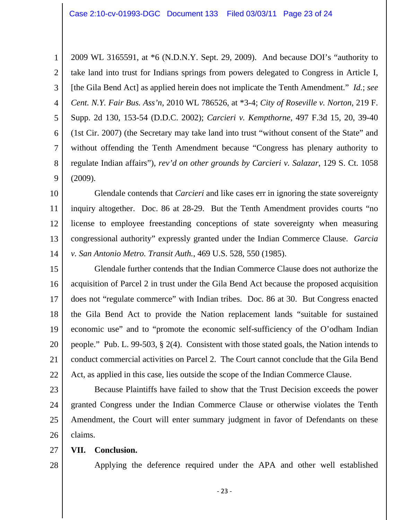1 2 3 4 5 6 7 8 9 2009 WL 3165591, at \*6 (N.D.N.Y. Sept. 29, 2009). And because DOI's "authority to take land into trust for Indians springs from powers delegated to Congress in Article I, [the Gila Bend Act] as applied herein does not implicate the Tenth Amendment." *Id.*; *see Cent. N.Y. Fair Bus. Ass'n*, 2010 WL 786526, at \*3-4; *City of Roseville v. Norton*, 219 F. Supp. 2d 130, 153-54 (D.D.C. 2002); *Carcieri v. Kempthorne*, 497 F.3d 15, 20, 39-40 (1st Cir. 2007) (the Secretary may take land into trust "without consent of the State" and without offending the Tenth Amendment because "Congress has plenary authority to regulate Indian affairs"), *rev'd on other grounds by Carcieri v. Salazar*, 129 S. Ct. 1058 (2009).

10 11 12 13 14 Glendale contends that *Carcieri* and like cases err in ignoring the state sovereignty inquiry altogether. Doc. 86 at 28-29. But the Tenth Amendment provides courts "no license to employee freestanding conceptions of state sovereignty when measuring congressional authority" expressly granted under the Indian Commerce Clause. *Garcia v. San Antonio Metro. Transit Auth.*, 469 U.S. 528, 550 (1985).

15 16 17 18 19 20 21 22 Glendale further contends that the Indian Commerce Clause does not authorize the acquisition of Parcel 2 in trust under the Gila Bend Act because the proposed acquisition does not "regulate commerce" with Indian tribes. Doc. 86 at 30. But Congress enacted the Gila Bend Act to provide the Nation replacement lands "suitable for sustained economic use" and to "promote the economic self-sufficiency of the O'odham Indian people." Pub. L. 99-503, § 2(4). Consistent with those stated goals, the Nation intends to conduct commercial activities on Parcel 2. The Court cannot conclude that the Gila Bend Act, as applied in this case, lies outside the scope of the Indian Commerce Clause.

23 24 25 26 Because Plaintiffs have failed to show that the Trust Decision exceeds the power granted Congress under the Indian Commerce Clause or otherwise violates the Tenth Amendment, the Court will enter summary judgment in favor of Defendants on these claims.

- 27 **VII. Conclusion.**
- 28

Applying the deference required under the APA and other well established